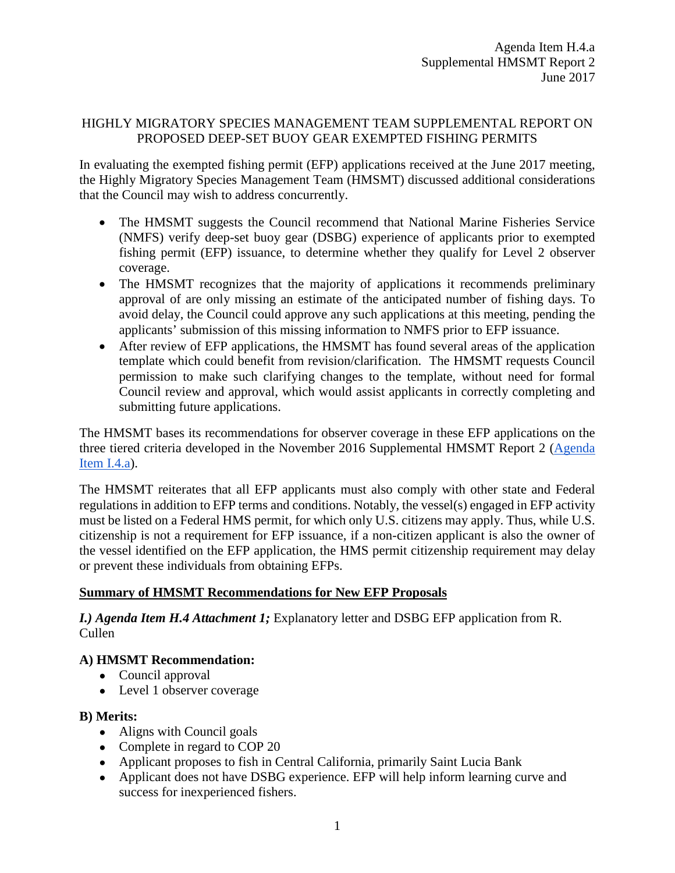### HIGHLY MIGRATORY SPECIES MANAGEMENT TEAM SUPPLEMENTAL REPORT ON PROPOSED DEEP-SET BUOY GEAR EXEMPTED FISHING PERMITS

In evaluating the exempted fishing permit (EFP) applications received at the June 2017 meeting, the Highly Migratory Species Management Team (HMSMT) discussed additional considerations that the Council may wish to address concurrently.

- The HMSMT suggests the Council recommend that National Marine Fisheries Service (NMFS) verify deep-set buoy gear (DSBG) experience of applicants prior to exempted fishing permit (EFP) issuance, to determine whether they qualify for Level 2 observer coverage.
- The HMSMT recognizes that the majority of applications it recommends preliminary approval of are only missing an estimate of the anticipated number of fishing days. To avoid delay, the Council could approve any such applications at this meeting, pending the applicants' submission of this missing information to NMFS prior to EFP issuance.
- After review of EFP applications, the HMSMT has found several areas of the application template which could benefit from revision/clarification. The HMSMT requests Council permission to make such clarifying changes to the template, without need for formal Council review and approval, which would assist applicants in correctly completing and submitting future applications.

The HMSMT bases its recommendations for observer coverage in these EFP applications on the three tiered criteria developed in the November 2016 Supplemental HMSMT Report 2 [\(Agenda](http://www.pcouncil.org/wp-content/uploads/2016/11/I4a_Sup_HMSMT_Rpt2_DSBG_EFPs_NOV2016BB.pdf)  [Item I.4.a\)](http://www.pcouncil.org/wp-content/uploads/2016/11/I4a_Sup_HMSMT_Rpt2_DSBG_EFPs_NOV2016BB.pdf).

The HMSMT reiterates that all EFP applicants must also comply with other state and Federal regulations in addition to EFP terms and conditions. Notably, the vessel(s) engaged in EFP activity must be listed on a Federal HMS permit, for which only U.S. citizens may apply. Thus, while U.S. citizenship is not a requirement for EFP issuance, if a non-citizen applicant is also the owner of the vessel identified on the EFP application, the HMS permit citizenship requirement may delay or prevent these individuals from obtaining EFPs.

### **Summary of HMSMT Recommendations for New EFP Proposals**

*I.) Agenda Item H.4 Attachment 1;* Explanatory letter and DSBG EFP application from R. Cullen

# **A) HMSMT Recommendation:**

- Council approval
- Level 1 observer coverage

- Aligns with Council goals
- Complete in regard to COP 20
- Applicant proposes to fish in Central California, primarily Saint Lucia Bank
- Applicant does not have DSBG experience. EFP will help inform learning curve and success for inexperienced fishers.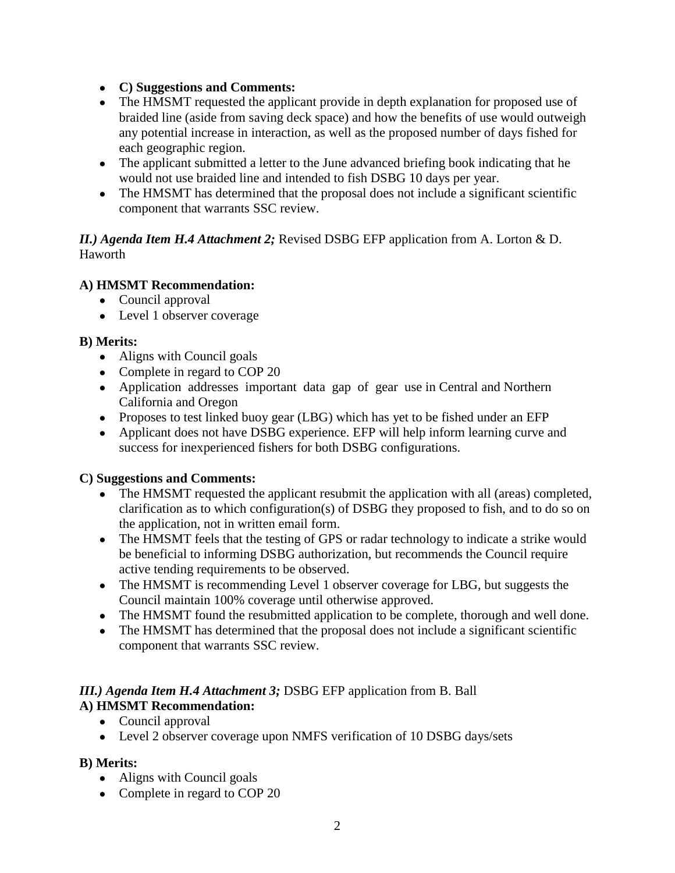- **C) Suggestions and Comments:**
- The HMSMT requested the applicant provide in depth explanation for proposed use of braided line (aside from saving deck space) and how the benefits of use would outweigh any potential increase in interaction, as well as the proposed number of days fished for each geographic region.
- The applicant submitted a letter to the June advanced briefing book indicating that he would not use braided line and intended to fish DSBG 10 days per year.
- The HMSMT has determined that the proposal does not include a significant scientific component that warrants SSC review.

### *II.) Agenda Item H.4 Attachment 2;* Revised DSBG EFP application from A. Lorton & D. Haworth

# **A) HMSMT Recommendation:**

- Council approval
- Level 1 observer coverage

## **B) Merits:**

- Aligns with Council goals
- Complete in regard to COP 20
- Application addresses important data gap of gear use in Central and Northern California and Oregon
- Proposes to test linked buoy gear (LBG) which has yet to be fished under an EFP
- Applicant does not have DSBG experience. EFP will help inform learning curve and success for inexperienced fishers for both DSBG configurations.

# **C) Suggestions and Comments:**

- The HMSMT requested the applicant resubmit the application with all (areas) completed, clarification as to which configuration(s) of DSBG they proposed to fish, and to do so on the application, not in written email form.
- The HMSMT feels that the testing of GPS or radar technology to indicate a strike would be beneficial to informing DSBG authorization, but recommends the Council require active tending requirements to be observed.
- The HMSMT is recommending Level 1 observer coverage for LBG, but suggests the Council maintain 100% coverage until otherwise approved.
- The HMSMT found the resubmitted application to be complete, thorough and well done.
- The HMSMT has determined that the proposal does not include a significant scientific component that warrants SSC review.

#### *III.) Agenda Item H.4 Attachment 3;* DSBG EFP application from B. Ball **A) HMSMT Recommendation:**

- Council approval
	- Level 2 observer coverage upon NMFS verification of 10 DSBG days/sets

- Aligns with Council goals
- Complete in regard to COP 20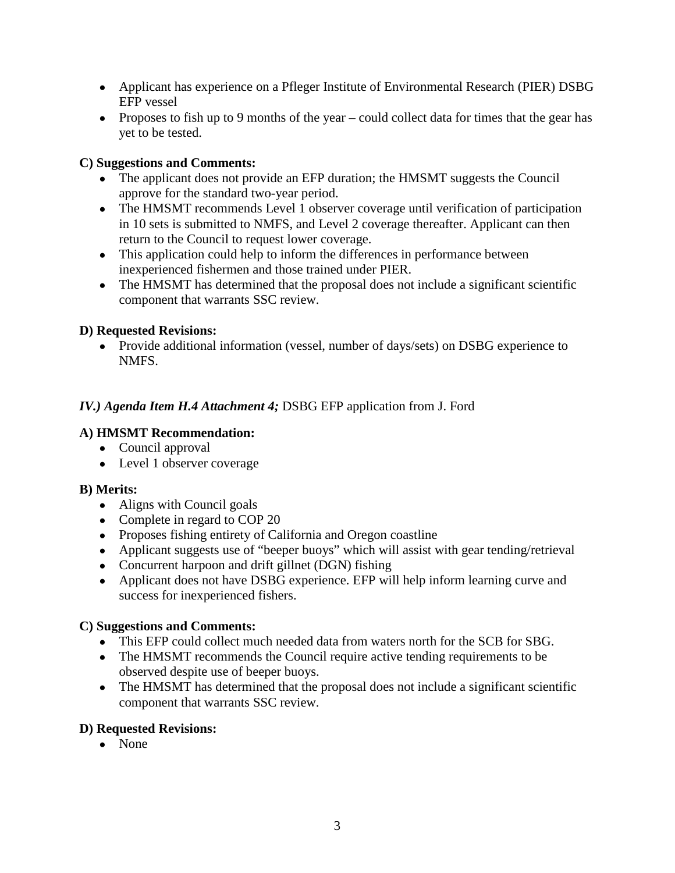- Applicant has experience on a Pfleger Institute of Environmental Research (PIER) DSBG EFP vessel
- Proposes to fish up to 9 months of the year could collect data for times that the gear has yet to be tested.

## **C) Suggestions and Comments:**

- The applicant does not provide an EFP duration; the HMSMT suggests the Council approve for the standard two-year period.
- The HMSMT recommends Level 1 observer coverage until verification of participation in 10 sets is submitted to NMFS, and Level 2 coverage thereafter. Applicant can then return to the Council to request lower coverage.
- This application could help to inform the differences in performance between inexperienced fishermen and those trained under PIER.
- The HMSMT has determined that the proposal does not include a significant scientific component that warrants SSC review.

## **D) Requested Revisions:**

● Provide additional information (vessel, number of days/sets) on DSBG experience to NMFS.

# *IV.) Agenda Item H.4 Attachment 4;* DSBG EFP application from J. Ford

## **A) HMSMT Recommendation:**

- Council approval
- Level 1 observer coverage

### **B) Merits:**

- Aligns with Council goals
- Complete in regard to COP 20
- Proposes fishing entirety of California and Oregon coastline
- Applicant suggests use of "beeper buoys" which will assist with gear tending/retrieval
- Concurrent harpoon and drift gillnet (DGN) fishing
- Applicant does not have DSBG experience. EFP will help inform learning curve and success for inexperienced fishers.

### **C) Suggestions and Comments:**

- This EFP could collect much needed data from waters north for the SCB for SBG.
- The HMSMT recommends the Council require active tending requirements to be observed despite use of beeper buoys.
- The HMSMT has determined that the proposal does not include a significant scientific component that warrants SSC review.

### **D) Requested Revisions:**

● None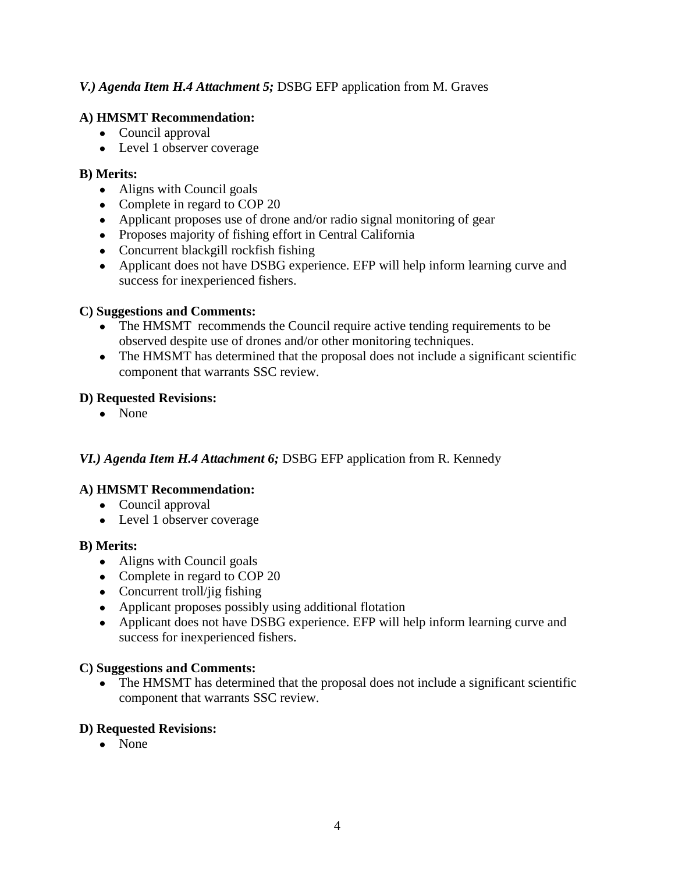## *V.) Agenda Item H.4 Attachment 5;* DSBG EFP application from M. Graves

# **A) HMSMT Recommendation:**

- Council approval
- Level 1 observer coverage

### **B) Merits:**

- Aligns with Council goals
- Complete in regard to COP 20
- Applicant proposes use of drone and/or radio signal monitoring of gear
- Proposes majority of fishing effort in Central California
- Concurrent blackgill rockfish fishing
- Applicant does not have DSBG experience. EFP will help inform learning curve and success for inexperienced fishers.

### **C) Suggestions and Comments:**

- The HMSMT recommends the Council require active tending requirements to be observed despite use of drones and/or other monitoring techniques.
- The HMSMT has determined that the proposal does not include a significant scientific component that warrants SSC review.

### **D) Requested Revisions:**

• None

# *VI.) Agenda Item H.4 Attachment 6;* DSBG EFP application from R. Kennedy

### **A) HMSMT Recommendation:**

- Council approval
- Level 1 observer coverage

### **B) Merits:**

- Aligns with Council goals
- Complete in regard to COP 20
- $\bullet$  Concurrent troll/jig fishing
- Applicant proposes possibly using additional flotation
- Applicant does not have DSBG experience. EFP will help inform learning curve and success for inexperienced fishers.

### **C) Suggestions and Comments:**

• The HMSMT has determined that the proposal does not include a significant scientific component that warrants SSC review.

### **D) Requested Revisions:**

● None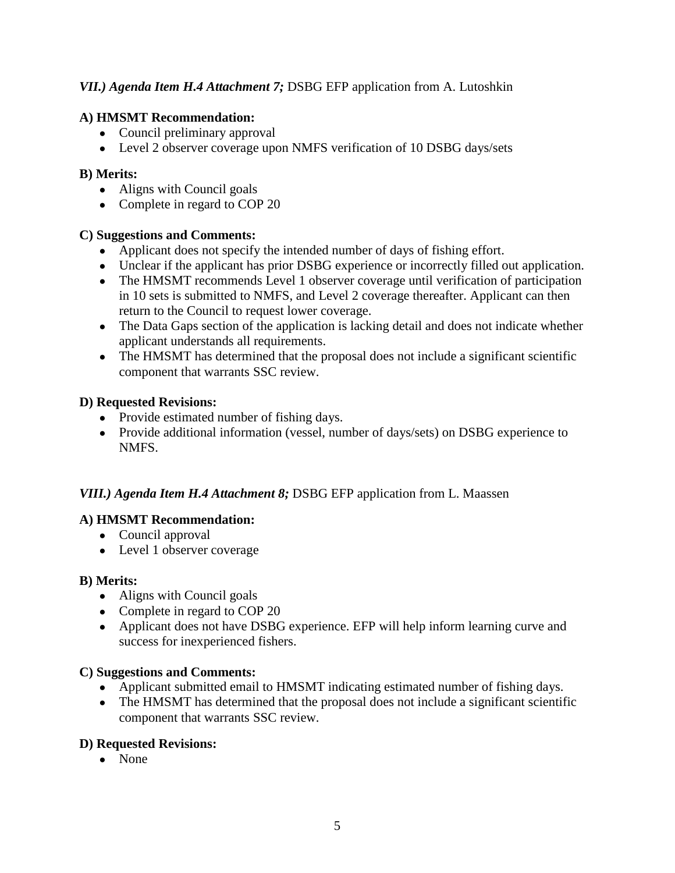# *VII.) Agenda Item H.4 Attachment 7;* DSBG EFP application from A. Lutoshkin

## **A) HMSMT Recommendation:**

- Council preliminary approval
- Level 2 observer coverage upon NMFS verification of 10 DSBG days/sets

### **B) Merits:**

- Aligns with Council goals
- Complete in regard to COP 20

### **C) Suggestions and Comments:**

- Applicant does not specify the intended number of days of fishing effort.
- Unclear if the applicant has prior DSBG experience or incorrectly filled out application.
- The HMSMT recommends Level 1 observer coverage until verification of participation in 10 sets is submitted to NMFS, and Level 2 coverage thereafter. Applicant can then return to the Council to request lower coverage.
- The Data Gaps section of the application is lacking detail and does not indicate whether applicant understands all requirements.
- The HMSMT has determined that the proposal does not include a significant scientific component that warrants SSC review.

### **D) Requested Revisions:**

- Provide estimated number of fishing days.
- Provide additional information (vessel, number of days/sets) on DSBG experience to NMFS.

# *VIII.) Agenda Item H.4 Attachment 8;* DSBG EFP application from L. Maassen

# **A) HMSMT Recommendation:**

- Council approval
- Level 1 observer coverage

### **B) Merits:**

- Aligns with Council goals
- Complete in regard to COP 20
- Applicant does not have DSBG experience. EFP will help inform learning curve and success for inexperienced fishers.

### **C) Suggestions and Comments:**

- Applicant submitted email to HMSMT indicating estimated number of fishing days.
- The HMSMT has determined that the proposal does not include a significant scientific component that warrants SSC review.

### **D) Requested Revisions:**

● None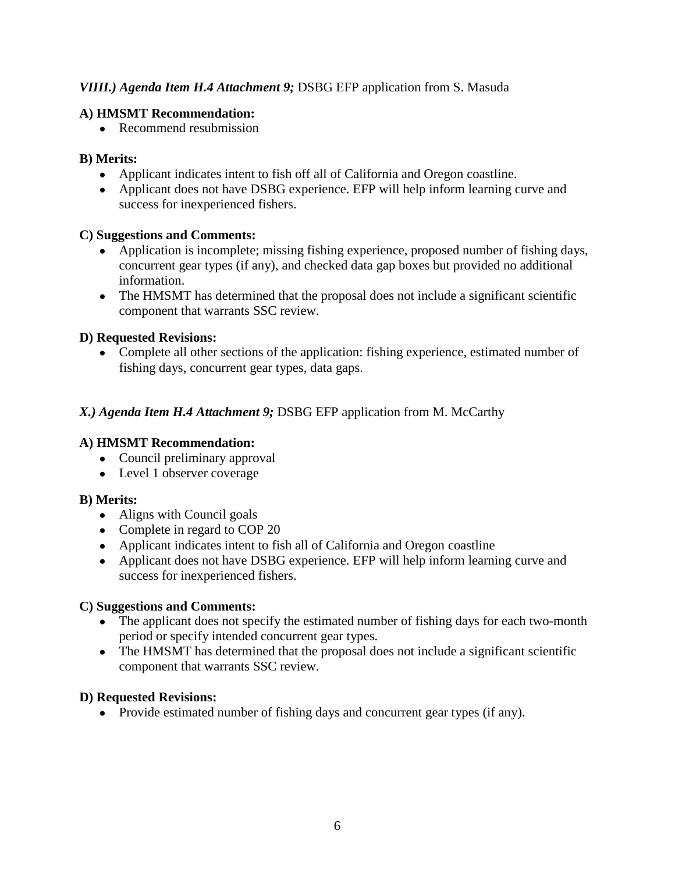## *VIIII.) Agenda Item H.4 Attachment 9;* DSBG EFP application from S. Masuda

## **A) HMSMT Recommendation:**

• Recommend resubmission

# **B) Merits:**

- Applicant indicates intent to fish off all of California and Oregon coastline.
- Applicant does not have DSBG experience. EFP will help inform learning curve and success for inexperienced fishers.

## **C) Suggestions and Comments:**

- Application is incomplete; missing fishing experience, proposed number of fishing days, concurrent gear types (if any), and checked data gap boxes but provided no additional information.
- The HMSMT has determined that the proposal does not include a significant scientific component that warrants SSC review.

# **D) Requested Revisions:**

• Complete all other sections of the application: fishing experience, estimated number of fishing days, concurrent gear types, data gaps.

# *X.) Agenda Item H.4 Attachment 9;* DSBG EFP application from M. McCarthy

# **A) HMSMT Recommendation:**

- Council preliminary approval
- Level 1 observer coverage

### **B) Merits:**

- Aligns with Council goals
- Complete in regard to COP 20
- Applicant indicates intent to fish all of California and Oregon coastline
- Applicant does not have DSBG experience. EFP will help inform learning curve and success for inexperienced fishers.

### **C) Suggestions and Comments:**

- The applicant does not specify the estimated number of fishing days for each two-month period or specify intended concurrent gear types.
- The HMSMT has determined that the proposal does not include a significant scientific component that warrants SSC review.

# **D) Requested Revisions:**

• Provide estimated number of fishing days and concurrent gear types (if any).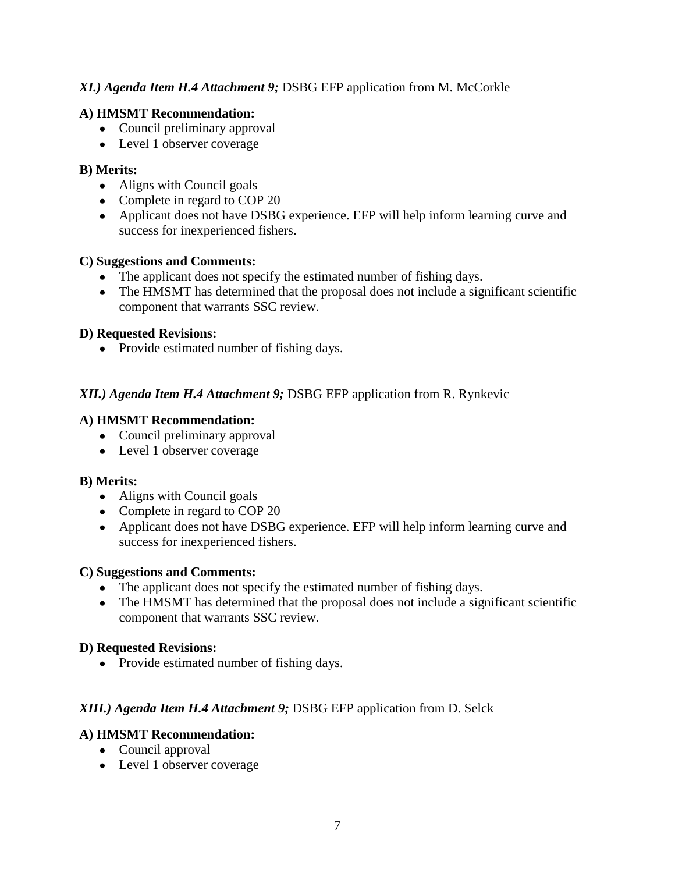## *XI.) Agenda Item H.4 Attachment 9;* DSBG EFP application from M. McCorkle

### **A) HMSMT Recommendation:**

- Council preliminary approval
- Level 1 observer coverage

### **B) Merits:**

- Aligns with Council goals
- Complete in regard to COP 20
- Applicant does not have DSBG experience. EFP will help inform learning curve and success for inexperienced fishers.

### **C) Suggestions and Comments:**

- The applicant does not specify the estimated number of fishing days.
- The HMSMT has determined that the proposal does not include a significant scientific component that warrants SSC review.

## **D) Requested Revisions:**

• Provide estimated number of fishing days.

# *XII.) Agenda Item H.4 Attachment 9;* DSBG EFP application from R. Rynkevic

### **A) HMSMT Recommendation:**

- Council preliminary approval
- Level 1 observer coverage

### **B) Merits:**

- Aligns with Council goals
- Complete in regard to COP 20
- Applicant does not have DSBG experience. EFP will help inform learning curve and success for inexperienced fishers.

### **C) Suggestions and Comments:**

- The applicant does not specify the estimated number of fishing days.
- The HMSMT has determined that the proposal does not include a significant scientific component that warrants SSC review.

### **D) Requested Revisions:**

• Provide estimated number of fishing days.

# *XIII.) Agenda Item H.4 Attachment 9;* DSBG EFP application from D. Selck

# **A) HMSMT Recommendation:**

- Council approval
- Level 1 observer coverage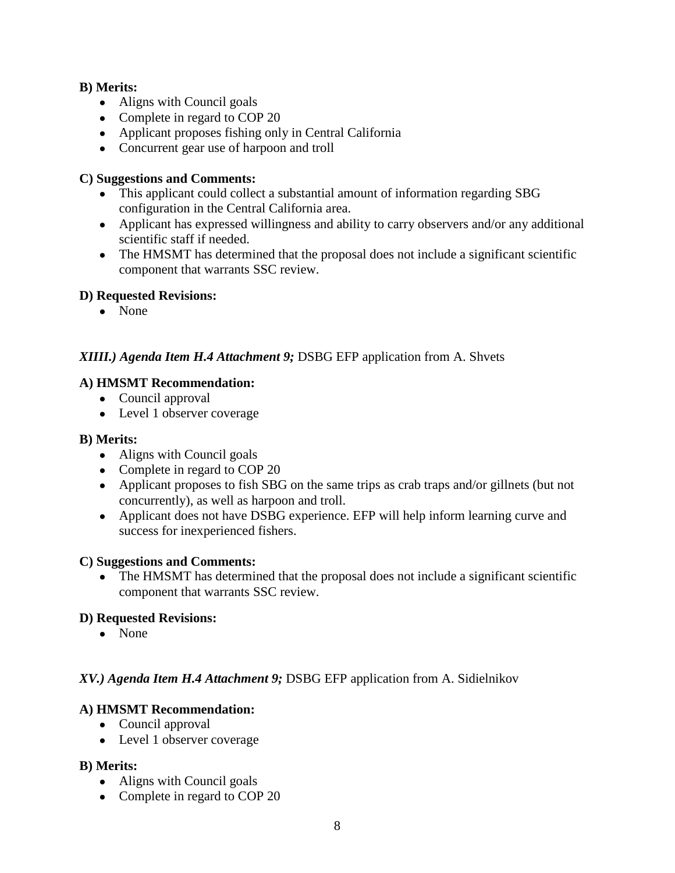### **B) Merits:**

- Aligns with Council goals
- Complete in regard to COP 20
- Applicant proposes fishing only in Central California
- Concurrent gear use of harpoon and troll

#### **C) Suggestions and Comments:**

- This applicant could collect a substantial amount of information regarding SBG configuration in the Central California area.
- Applicant has expressed willingness and ability to carry observers and/or any additional scientific staff if needed.
- The HMSMT has determined that the proposal does not include a significant scientific component that warrants SSC review.

#### **D) Requested Revisions:**

● None

### *XIIII.) Agenda Item H.4 Attachment 9;* DSBG EFP application from A. Shvets

#### **A) HMSMT Recommendation:**

- Council approval
- Level 1 observer coverage

#### **B) Merits:**

- Aligns with Council goals
- Complete in regard to COP 20
- Applicant proposes to fish SBG on the same trips as crab traps and/or gillnets (but not concurrently), as well as harpoon and troll.
- Applicant does not have DSBG experience. EFP will help inform learning curve and success for inexperienced fishers.

### **C) Suggestions and Comments:**

• The HMSMT has determined that the proposal does not include a significant scientific component that warrants SSC review.

### **D) Requested Revisions:**

● None

### *XV.) Agenda Item H.4 Attachment 9;* DSBG EFP application from A. Sidielnikov

### **A) HMSMT Recommendation:**

- Council approval
- Level 1 observer coverage

- Aligns with Council goals
- Complete in regard to COP 20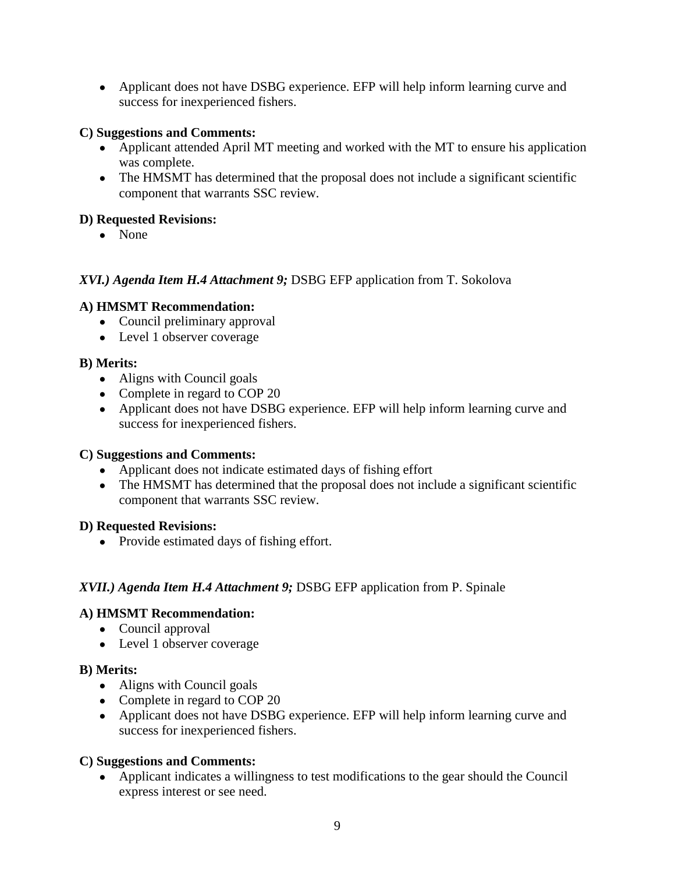• Applicant does not have DSBG experience. EFP will help inform learning curve and success for inexperienced fishers.

## **C) Suggestions and Comments:**

- Applicant attended April MT meeting and worked with the MT to ensure his application was complete.
- The HMSMT has determined that the proposal does not include a significant scientific component that warrants SSC review.

## **D) Requested Revisions:**

● None

## *XVI.) Agenda Item H.4 Attachment 9;* DSBG EFP application from T. Sokolova

## **A) HMSMT Recommendation:**

- Council preliminary approval
- Level 1 observer coverage

## **B) Merits:**

- Aligns with Council goals
- Complete in regard to COP 20
- Applicant does not have DSBG experience. EFP will help inform learning curve and success for inexperienced fishers.

### **C) Suggestions and Comments:**

- Applicant does not indicate estimated days of fishing effort
- The HMSMT has determined that the proposal does not include a significant scientific component that warrants SSC review.

### **D) Requested Revisions:**

• Provide estimated days of fishing effort.

# *XVII.) Agenda Item H.4 Attachment 9;* DSBG EFP application from P. Spinale

### **A) HMSMT Recommendation:**

- Council approval
- Level 1 observer coverage

### **B) Merits:**

- Aligns with Council goals
- Complete in regard to COP 20
- Applicant does not have DSBG experience. EFP will help inform learning curve and success for inexperienced fishers.

# **C) Suggestions and Comments:**

● Applicant indicates a willingness to test modifications to the gear should the Council express interest or see need.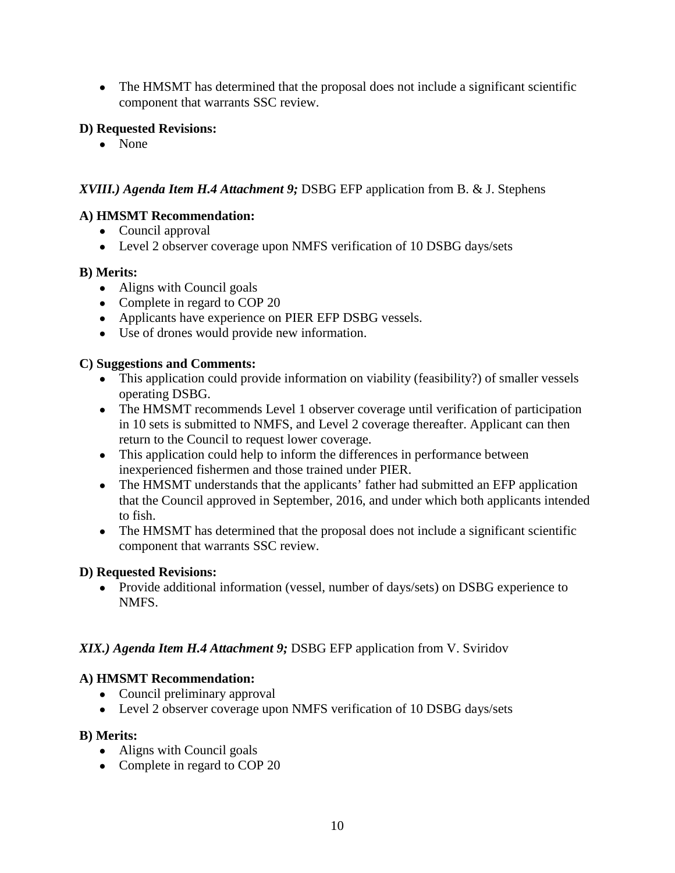• The HMSMT has determined that the proposal does not include a significant scientific component that warrants SSC review.

## **D) Requested Revisions:**

● None

# *XVIII.) Agenda Item H.4 Attachment 9;* DSBG EFP application from B. & J. Stephens

# **A) HMSMT Recommendation:**

- Council approval
- Level 2 observer coverage upon NMFS verification of 10 DSBG days/sets

## **B) Merits:**

- Aligns with Council goals
- Complete in regard to COP 20
- Applicants have experience on PIER EFP DSBG vessels.
- Use of drones would provide new information.

## **C) Suggestions and Comments:**

- This application could provide information on viability (feasibility?) of smaller vessels operating DSBG.
- The HMSMT recommends Level 1 observer coverage until verification of participation in 10 sets is submitted to NMFS, and Level 2 coverage thereafter. Applicant can then return to the Council to request lower coverage.
- This application could help to inform the differences in performance between inexperienced fishermen and those trained under PIER.
- The HMSMT understands that the applicants' father had submitted an EFP application that the Council approved in September, 2016, and under which both applicants intended to fish.
- The HMSMT has determined that the proposal does not include a significant scientific component that warrants SSC review.

### **D) Requested Revisions:**

• Provide additional information (vessel, number of days/sets) on DSBG experience to NMFS.

# *XIX.) Agenda Item H.4 Attachment 9;* DSBG EFP application from V. Sviridov

# **A) HMSMT Recommendation:**

- Council preliminary approval
- Level 2 observer coverage upon NMFS verification of 10 DSBG days/sets

- Aligns with Council goals
- Complete in regard to COP 20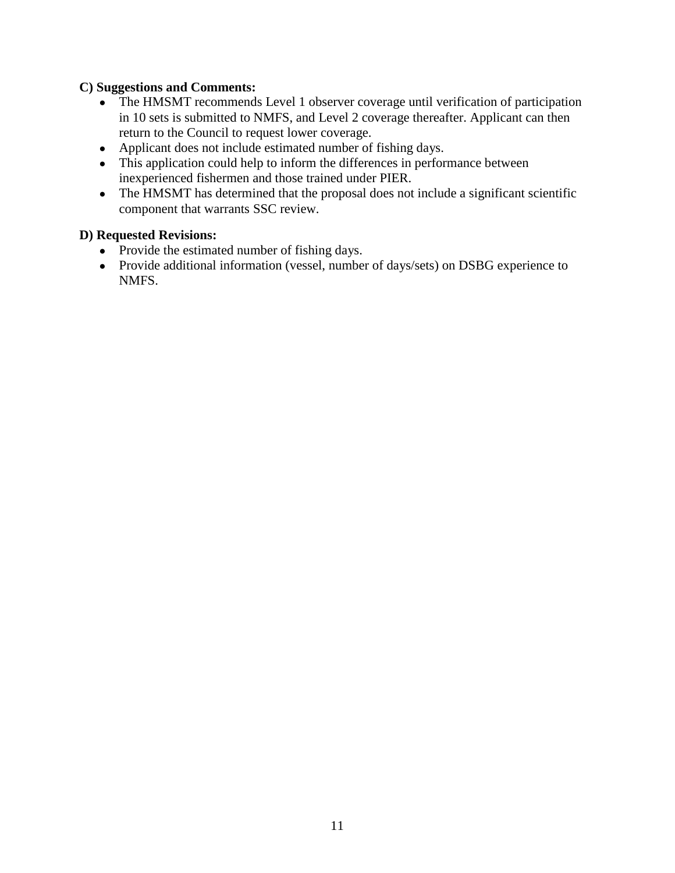### **C) Suggestions and Comments:**

- The HMSMT recommends Level 1 observer coverage until verification of participation in 10 sets is submitted to NMFS, and Level 2 coverage thereafter. Applicant can then return to the Council to request lower coverage.
- Applicant does not include estimated number of fishing days.
- This application could help to inform the differences in performance between inexperienced fishermen and those trained under PIER.
- The HMSMT has determined that the proposal does not include a significant scientific component that warrants SSC review.

#### **D) Requested Revisions:**

- Provide the estimated number of fishing days.
- Provide additional information (vessel, number of days/sets) on DSBG experience to NMFS.